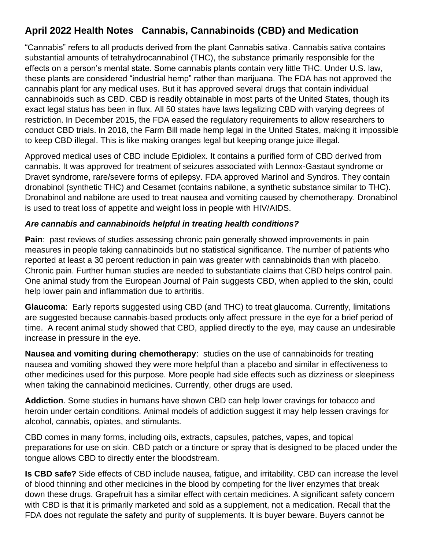## **April 2022 Health Notes Cannabis, Cannabinoids (CBD) and Medication**

"Cannabis" refers to all products derived from the plant Cannabis sativa. Cannabis sativa contains substantial amounts of tetrahydrocannabinol (THC), the substance primarily responsible for the effects on a person's mental state. Some cannabis plants contain very little THC. Under U.S. law, these plants are considered "industrial hemp" rather than marijuana. The FDA has not approved the cannabis plant for any medical uses. But it has approved several drugs that contain individual cannabinoids such as CBD. CBD is readily obtainable in most parts of the United States, though its exact legal status has been in flux. All 50 states have laws legalizing CBD with varying degrees of restriction. In December 2015, the FDA eased the regulatory requirements to allow researchers to conduct CBD trials. In 2018, the Farm Bill made hemp legal in the United States, making it impossible to keep CBD illegal. This is like making oranges legal but keeping orange juice illegal.

Approved medical uses of CBD include Epidiolex. It contains a purified form of CBD derived from cannabis. It was approved for treatment of seizures associated with Lennox-Gastaut syndrome or Dravet syndrome, rare/severe forms of epilepsy. FDA approved Marinol and Syndros. They contain dronabinol (synthetic THC) and Cesamet (contains nabilone, a synthetic substance similar to THC). Dronabinol and nabilone are used to treat nausea and vomiting caused by chemotherapy. Dronabinol is used to treat loss of appetite and weight loss in people with HIV/AIDS.

## *Are cannabis and cannabinoids helpful in treating health conditions?*

**Pain:** past reviews of studies assessing chronic pain generally showed improvements in pain measures in people taking cannabinoids but no statistical significance. The number of patients who reported at least a 30 percent reduction in pain was greater with cannabinoids than with placebo. Chronic pain. Further human studies are needed to substantiate claims that CBD helps control pain. One animal study from the European Journal of Pain suggests CBD, when applied to the skin, could help lower pain and inflammation due to arthritis.

**Glaucoma**: Early reports suggested using CBD (and THC) to treat glaucoma. Currently, limitations are suggested because cannabis-based products only affect pressure in the eye for a brief period of time. A recent animal study showed that CBD, applied directly to the eye, may cause an undesirable increase in pressure in the eye.

**Nausea and vomiting during chemotherapy**: studies on the use of cannabinoids for treating nausea and vomiting showed they were more helpful than a placebo and similar in effectiveness to other medicines used for this purpose. More people had side effects such as dizziness or sleepiness when taking the cannabinoid medicines. Currently, other drugs are used.

**Addiction**. Some studies in humans have shown CBD can help lower cravings for tobacco and heroin under certain conditions. Animal models of addiction suggest it may help lessen cravings for alcohol, cannabis, opiates, and stimulants.

CBD comes in many forms, including oils, extracts, capsules, patches, vapes, and topical preparations for use on skin. CBD patch or a tincture or spray that is designed to be placed under the tongue allows CBD to directly enter the bloodstream.

**Is CBD safe?** Side effects of CBD include nausea, fatigue, and irritability. CBD can increase the level of blood thinning and other medicines in the blood by competing for the liver enzymes that break down these drugs. Grapefruit has a similar effect with certain medicines. A significant safety concern with CBD is that it is primarily marketed and sold as a supplement, not a medication. Recall that the FDA does not regulate the safety and purity of supplements. It is buyer beware. Buyers cannot be